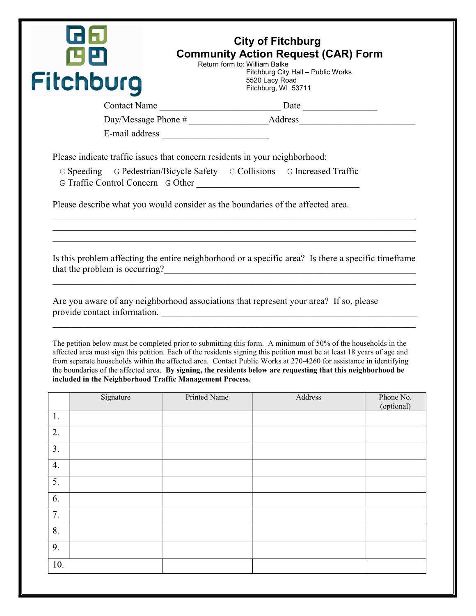|          | GIS<br>四巴 | Return form to: William Balke                                               | <b>City of Fitchburg</b><br><b>Community Action Request (CAR) Form</b>                                                                                                                                                                                                                                                                                                                                                                                                                                         |            |
|----------|-----------|-----------------------------------------------------------------------------|----------------------------------------------------------------------------------------------------------------------------------------------------------------------------------------------------------------------------------------------------------------------------------------------------------------------------------------------------------------------------------------------------------------------------------------------------------------------------------------------------------------|------------|
|          |           |                                                                             | Fitchburg City Hall - Public Works                                                                                                                                                                                                                                                                                                                                                                                                                                                                             |            |
|          | Fitchburg |                                                                             | 5520 Lacy Road<br>Fitchburg, WI 53711                                                                                                                                                                                                                                                                                                                                                                                                                                                                          |            |
|          |           |                                                                             |                                                                                                                                                                                                                                                                                                                                                                                                                                                                                                                |            |
|          |           | E-mail address                                                              |                                                                                                                                                                                                                                                                                                                                                                                                                                                                                                                |            |
|          |           | Please indicate traffic issues that concern residents in your neighborhood: |                                                                                                                                                                                                                                                                                                                                                                                                                                                                                                                |            |
|          |           |                                                                             | G Speeding G Pedestrian/Bicycle Safety G Collisions G Increased Traffic<br>G Traffic Control Concern G Other                                                                                                                                                                                                                                                                                                                                                                                                   |            |
|          |           |                                                                             | Please describe what you would consider as the boundaries of the affected area.                                                                                                                                                                                                                                                                                                                                                                                                                                |            |
|          |           |                                                                             | Are you aware of any neighborhood associations that represent your area? If so, please                                                                                                                                                                                                                                                                                                                                                                                                                         |            |
|          |           |                                                                             | provide contact information.<br>The petition below must be completed prior to submitting this form. A minimum of 50% of the households in the<br>affected area must sign this petition. Each of the residents signing this petition must be at least 18 years of age and<br>from separate households within the affected area. Contact Public Works at 270-4260 for assistance in identifying<br>the boundaries of the affected area. By signing, the residents below are requesting that this neighborhood be |            |
|          | Signature | included in the Neighborhood Traffic Management Process.<br>Printed Name    | Address                                                                                                                                                                                                                                                                                                                                                                                                                                                                                                        |            |
|          |           |                                                                             |                                                                                                                                                                                                                                                                                                                                                                                                                                                                                                                | (optional) |
| 1.       |           |                                                                             |                                                                                                                                                                                                                                                                                                                                                                                                                                                                                                                |            |
| 2.       |           |                                                                             |                                                                                                                                                                                                                                                                                                                                                                                                                                                                                                                |            |
| 3.       |           |                                                                             |                                                                                                                                                                                                                                                                                                                                                                                                                                                                                                                |            |
| 4.<br>5. |           |                                                                             |                                                                                                                                                                                                                                                                                                                                                                                                                                                                                                                |            |
| 6.       |           |                                                                             |                                                                                                                                                                                                                                                                                                                                                                                                                                                                                                                |            |
| 7.       |           |                                                                             |                                                                                                                                                                                                                                                                                                                                                                                                                                                                                                                |            |
| 8.       |           |                                                                             |                                                                                                                                                                                                                                                                                                                                                                                                                                                                                                                | Phone No.  |
| 9.       |           |                                                                             |                                                                                                                                                                                                                                                                                                                                                                                                                                                                                                                |            |